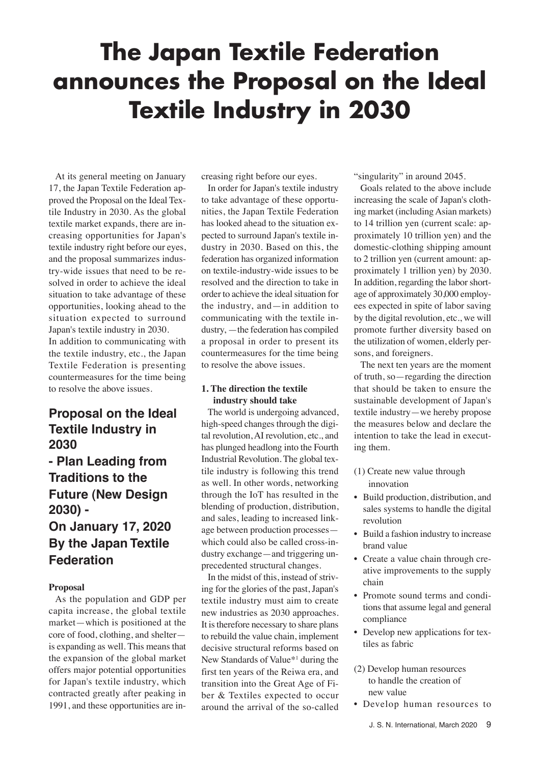# **The Japan Textile Federation announces the Proposal on the Ideal Textile Industry in 2030**

At its general meeting on January 17, the Japan Textile Federation approved the Proposal on the Ideal Textile Industry in 2030. As the global textile market expands, there are increasing opportunities for Japan's textile industry right before our eyes, and the proposal summarizes industry-wide issues that need to be resolved in order to achieve the ideal situation to take advantage of these opportunities, looking ahead to the situation expected to surround Japan's textile industry in 2030. In addition to communicating with the textile industry, etc., the Japan Textile Federation is presenting countermeasures for the time being to resolve the above issues.

## **Proposal on the Ideal Textile Industry in 2030**

## **- Plan Leading from Traditions to the Future (New Design 2030) - On January 17, 2020 By the Japan Textile Federation**

#### **Proposal**

As the population and GDP per capita increase, the global textile market—which is positioned at the core of food, clothing, and shelter is expanding as well. This means that the expansion of the global market offers major potential opportunities for Japan's textile industry, which contracted greatly after peaking in 1991, and these opportunities are increasing right before our eyes.

In order for Japan's textile industry to take advantage of these opportunities, the Japan Textile Federation has looked ahead to the situation expected to surround Japan's textile industry in 2030. Based on this, the federation has organized information on textile-industry-wide issues to be resolved and the direction to take in order to achieve the ideal situation for the industry, and—in addition to communicating with the textile industry, —the federation has compiled a proposal in order to present its countermeasures for the time being to resolve the above issues.

### **1. The direction the textile industry should take**

The world is undergoing advanced, high-speed changes through the digital revolution, AI revolution, etc., and has plunged headlong into the Fourth Industrial Revolution. The global textile industry is following this trend as well. In other words, networking through the IoT has resulted in the blending of production, distribution, and sales, leading to increased linkage between production processes which could also be called cross-industry exchange—and triggering unprecedented structural changes.

In the midst of this, instead of striving for the glories of the past, Japan's textile industry must aim to create new industries as 2030 approaches. It is therefore necessary to share plans to rebuild the value chain, implement decisive structural reforms based on New Standards of Value\*1 during the first ten years of the Reiwa era, and transition into the Great Age of Fiber & Textiles expected to occur around the arrival of the so-called

"singularity" in around 2045.

Goals related to the above include increasing the scale of Japan's clothing market (including Asian markets) to 14 trillion yen (current scale: approximately 10 trillion yen) and the domestic-clothing shipping amount to 2 trillion yen (current amount: approximately 1 trillion yen) by 2030. In addition, regarding the labor shortage of approximately 30,000 employees expected in spite of labor saving by the digital revolution, etc., we will promote further diversity based on the utilization of women, elderly persons, and foreigners.

The next ten years are the moment of truth, so—regarding the direction that should be taken to ensure the sustainable development of Japan's textile industry—we hereby propose the measures below and declare the intention to take the lead in executing them.

- (1) Create new value through innovation
- Build production, distribution, and sales systems to handle the digital revolution
- Build a fashion industry to increase brand value
- Create a value chain through creative improvements to the supply chain
- Promote sound terms and conditions that assume legal and general compliance
- Develop new applications for textiles as fabric
- (2) Develop human resources to handle the creation of new value
- Develop human resources to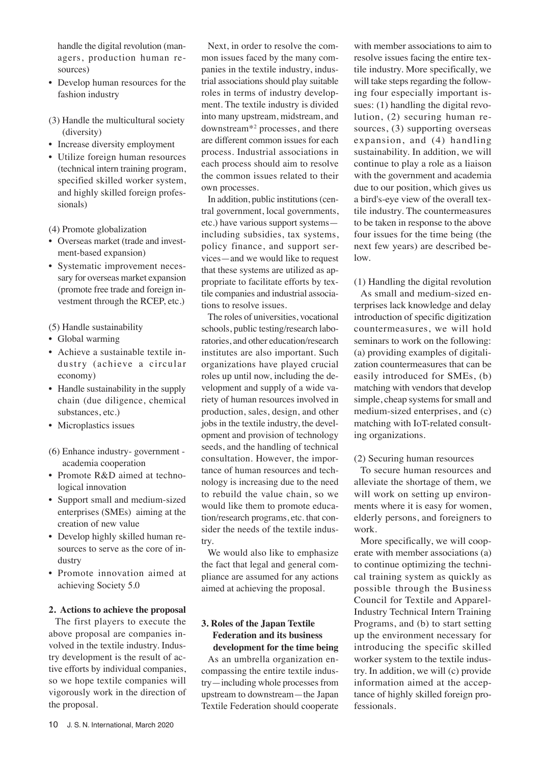handle the digital revolution (managers, production human resources)

- Develop human resources for the fashion industry
- (3) Handle the multicultural society (diversity)
- Increase diversity employment
- Utilize foreign human resources (technical intern training program, specified skilled worker system, and highly skilled foreign professionals)

(4) Promote globalization

- Overseas market (trade and investment-based expansion)
- Systematic improvement necessary for overseas market expansion (promote free trade and foreign investment through the RCEP, etc.)

(5) Handle sustainability

- Global warming
- Achieve a sustainable textile industry (achieve a circular economy)
- Handle sustainability in the supply chain (due diligence, chemical substances, etc.)
- Microplastics issues
- (6) Enhance industry- government academia cooperation
- Promote R&D aimed at technological innovation
- Support small and medium-sized enterprises (SMEs) aiming at the creation of new value
- Develop highly skilled human resources to serve as the core of industry
- Promote innovation aimed at achieving Society 5.0

#### **2. Actions to achieve the proposal**

The first players to execute the above proposal are companies involved in the textile industry. Industry development is the result of active efforts by individual companies, so we hope textile companies will vigorously work in the direction of the proposal.

Next, in order to resolve the common issues faced by the many companies in the textile industry, industrial associations should play suitable roles in terms of industry development. The textile industry is divided into many upstream, midstream, and downstream\*2 processes, and there are different common issues for each process. Industrial associations in each process should aim to resolve the common issues related to their own processes.

In addition, public institutions (central government, local governments, etc.) have various support systems including subsidies, tax systems, policy finance, and support services—and we would like to request that these systems are utilized as appropriate to facilitate efforts by textile companies and industrial associations to resolve issues.

The roles of universities, vocational schools, public testing/research laboratories, and other education/research institutes are also important. Such organizations have played crucial roles up until now, including the development and supply of a wide variety of human resources involved in production, sales, design, and other jobs in the textile industry, the development and provision of technology seeds, and the handling of technical consultation. However, the importance of human resources and technology is increasing due to the need to rebuild the value chain, so we would like them to promote education/research programs, etc. that consider the needs of the textile industry.

We would also like to emphasize the fact that legal and general compliance are assumed for any actions aimed at achieving the proposal.

#### **3. Roles of the Japan Textile Federation and its business development for the time being**

As an umbrella organization encompassing the entire textile industry—including whole processes from upstream to downstream—the Japan Textile Federation should cooperate

with member associations to aim to resolve issues facing the entire textile industry. More specifically, we will take steps regarding the following four especially important issues: (1) handling the digital revolution, (2) securing human resources, (3) supporting overseas expansion, and (4) handling sustainability. In addition, we will continue to play a role as a liaison with the government and academia due to our position, which gives us a bird's-eye view of the overall textile industry. The countermeasures to be taken in response to the above four issues for the time being (the next few years) are described below.

(1) Handling the digital revolution

As small and medium-sized enterprises lack knowledge and delay introduction of specific digitization countermeasures, we will hold seminars to work on the following: (a) providing examples of digitalization countermeasures that can be easily introduced for SMEs, (b) matching with vendors that develop simple, cheap systems for small and medium-sized enterprises, and (c) matching with IoT-related consulting organizations.

#### (2) Securing human resources

To secure human resources and alleviate the shortage of them, we will work on setting up environments where it is easy for women, elderly persons, and foreigners to work.

More specifically, we will cooperate with member associations (a) to continue optimizing the technical training system as quickly as possible through the Business Council for Textile and Apparel-Industry Technical Intern Training Programs, and (b) to start setting up the environment necessary for introducing the specific skilled worker system to the textile industry. In addition, we will (c) provide information aimed at the acceptance of highly skilled foreign professionals.